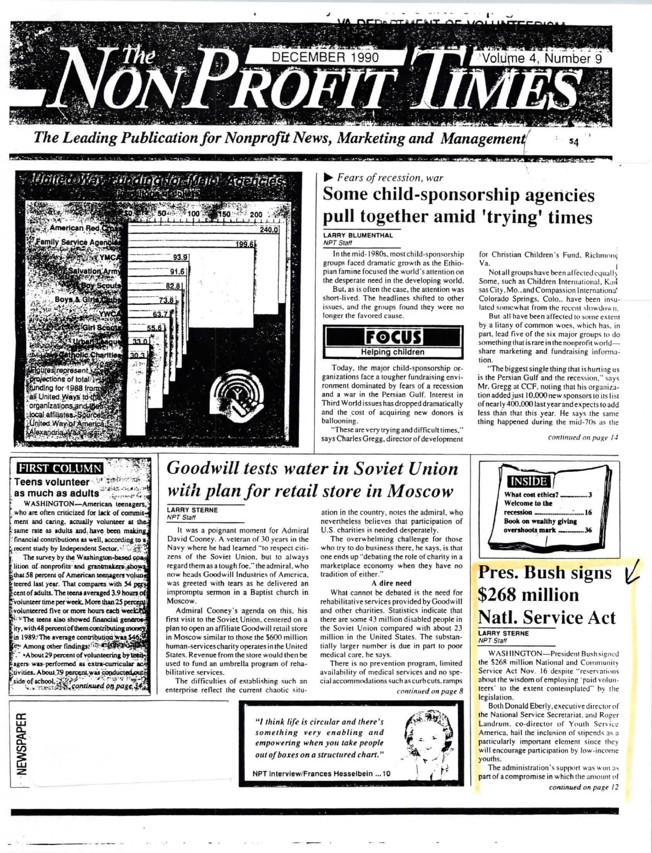

 $\frac{1}{2} \int \frac{1}{2} \int \frac{1}{2} \int \frac{1}{2} \int \frac{1}{2} \int \frac{1}{2} \int \frac{1}{2} \int \frac{1}{2} \int \frac{1}{2} \int \frac{1}{2} \int \frac{1}{2} \int \frac{1}{2} \int \frac{1}{2} \int \frac{1}{2} \int \frac{1}{2} \int \frac{1}{2} \int \frac{1}{2} \int \frac{1}{2} \int \frac{1}{2} \int \frac{1}{2} \int \frac{1}{2} \int \frac{1}{2} \int \frac{1}{2} \int \frac{1}{2} \int \frac{1$ *Imerican Red* 240.0  $1996$  $930$ 01 A Scout In Charities res represent 124 rojections of total funding for 1988 from: all United Ways to the organizations and their local affiliates. Sources United Way of America exandria.Wa

### $\blacktriangleright$  Fears of recession, war Some child-sponsorship agencies pull together amid 'trying' times

#### LARRY BLUMENTHAL NPT Staff

In the mid-1980s, most child-sponsorship groups faced dramatic growth as the Ethiopian famine focused the world's attention on the desperate need in the developing world. But, as is often the case, the attention was

short-lived. The headlines shifted to other issues, and the groups found they were no longer the favored cause.



Today, the major child-sponsorship organizations face a tougher fundraising environment dominated by fears of a recession and a war in the Persian Gulf. Interest in Third World issues has dropped dramatically and the cost of acquiring new donors is ballooning.

"These are very trying and difficult times," says Charles Gregg, director of development for Christian Children's Fund. Richmong Va

Not all groups have been affected equally Some, such as Children International, Kan sas City, Mo., and Compassion International Colorado Springs, Colo., have been insulated somewhat from the recent slowdown.

But all have been affected to some extent by a litany of common woes, which has, in part, lead five of the six major groups to do. something that is rare in the nonprofit world share marketing and fundraising information

...<br>"The biggest single thing that is hurting us is the Persian Gulf and the recession," says Mr. Gregg at CCF, noting that his organization added just 10,000 new sponsors to its list of nearly 400,000 last year and expects to add less than that this year. He says the same thing happened during the mid-70s as the

continued on page 14

#### **FIRST COLUMN** Teens volunteer Management as much as adults<sup>arese</sup> and "

WASHINGTON-American teenagers, who are often criticized for lack of commitment and caring, actually volunteer at the same rate as adults and have been making. financial contributions as well, according to a recent study by Independent Sector.

The survey by the Washington-based coalition of nonprofits and grantmakers shows that 58 percent of American teenagers volum teered last year. That compares with 54 pers cent of adults. The teens averaged 3.9 hours of volunteer time per week. More than 25 percent volunteered five or more hours each week? \*The teens also showed financial generos ity, with 48 percent of them contributing mone n 1989. The average contribution was \$46. Among other findings: in ELETTER \*About 29 percent of volunteering by teenseers was performed as extra-curricular ad tivities. About 79 percent was conducted out ide of school. Continued on page.

VEWSPAPER

# **Goodwill tests water in Soviet Union** with plan for retail store in Moscow

#### LARRY STERNE

It was a poignant moment for Admiral David Cooney. A veteran of 30 years in the Navy where he had learned "to respect citizens of the Soviet Union, but to always regard them as a tough foe." the admiral, who now heads Goodwill Industries of America, was greeted with tears as he delivered an impromptu sermon in a Baptist church in Moscow.

Admiral Cooney's agenda on this, his first visit to the Soviet Union, centered on a plan to open an affiliate Goodwill retail store in Moscow similar to those the \$600 million human-services charity operates in the United States. Revenue from the store would then be used to fund an umbrella program of rehabilitative services.

The difficulties of establishing such an enterprise reflect the current chaotic situation in the country, notes the admiral, who nevertheless believes that participation of U.S. charities is needed desperately.

The overwhelming challenge for those who try to do business there, he says, is that one ends up "debating the role of charity in a marketplace economy when they have no tradition of either.

#### A dire need

What cannot be debated is the need for rehabilitative services provided by Goodwill and other charities. Statistics indicate that there are some 43 million disabled people in the Soviet Union compared with about 23 million in the United States. The substantially larger number is due in part to poor medical care, he says.

There is no prevention program, limited availability of medical services and no special accommodations such as curb cuts, ramps continued on page 8





### \$268 million **Natl. Service Act** LARRY STERNE

**NPT Staff** 

**WASHINGTON-President Bush signed** the \$268 million National and Community Service Act Nov. 16 despite "reservations about the wisdom of employing 'paid volunteers' to the extent contemplated" by the legislation.

Both Donald Eberly, executive director of the National Service Secretariat, and Roger Landrum, co-director of Youth Service America, hail the inclusion of stipends as a particularly important element since they will encourage participation by low-income vouths.

The administration's support was won as part of a compromise in which the amount of continued on page 12



NPT Interview/Frances Hesselbein ... 10